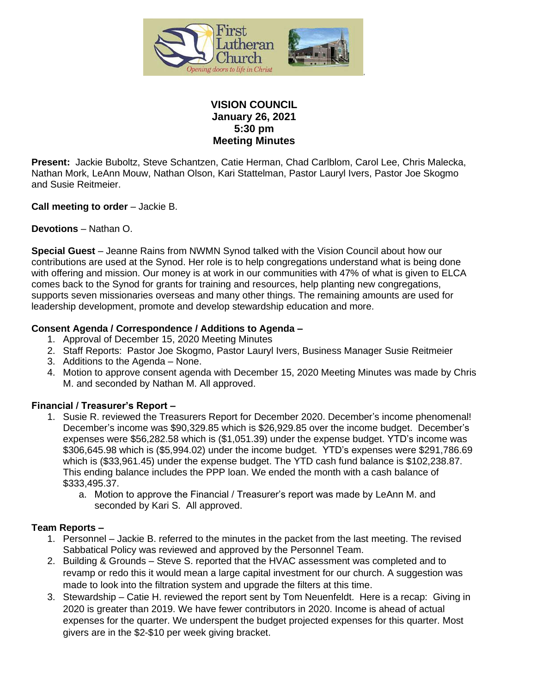

# **VISION COUNCIL January 26, 2021 5:30 pm Meeting Minutes**

**Present:** Jackie Buboltz, Steve Schantzen, Catie Herman, Chad Carlblom, Carol Lee, Chris Malecka, Nathan Mork, LeAnn Mouw, Nathan Olson, Kari Stattelman, Pastor Lauryl Ivers, Pastor Joe Skogmo and Susie Reitmeier.

**Call meeting to order** – Jackie B.

**Devotions** – Nathan O.

**Special Guest** – Jeanne Rains from NWMN Synod talked with the Vision Council about how our contributions are used at the Synod. Her role is to help congregations understand what is being done with offering and mission. Our money is at work in our communities with 47% of what is given to ELCA comes back to the Synod for grants for training and resources, help planting new congregations, supports seven missionaries overseas and many other things. The remaining amounts are used for leadership development, promote and develop stewardship education and more.

#### **Consent Agenda / Correspondence / Additions to Agenda –**

- 1. Approval of December 15, 2020 Meeting Minutes
- 2. Staff Reports: Pastor Joe Skogmo, Pastor Lauryl Ivers, Business Manager Susie Reitmeier
- 3. Additions to the Agenda None.
- 4. Motion to approve consent agenda with December 15, 2020 Meeting Minutes was made by Chris M. and seconded by Nathan M. All approved.

#### **Financial / Treasurer's Report –**

- 1. Susie R. reviewed the Treasurers Report for December 2020. December's income phenomenal! December's income was \$90,329.85 which is \$26,929.85 over the income budget. December's expenses were \$56,282.58 which is (\$1,051.39) under the expense budget. YTD's income was \$306,645.98 which is (\$5,994.02) under the income budget. YTD's expenses were \$291,786.69 which is (\$33,961.45) under the expense budget. The YTD cash fund balance is \$102,238.87. This ending balance includes the PPP loan. We ended the month with a cash balance of \$333,495.37.
	- a. Motion to approve the Financial / Treasurer's report was made by LeAnn M. and seconded by Kari S. All approved.

#### **Team Reports –**

- 1. Personnel Jackie B. referred to the minutes in the packet from the last meeting. The revised Sabbatical Policy was reviewed and approved by the Personnel Team.
- 2. Building & Grounds Steve S. reported that the HVAC assessment was completed and to revamp or redo this it would mean a large capital investment for our church. A suggestion was made to look into the filtration system and upgrade the filters at this time.
- 3. Stewardship Catie H. reviewed the report sent by Tom Neuenfeldt. Here is a recap: Giving in 2020 is greater than 2019. We have fewer contributors in 2020. Income is ahead of actual expenses for the quarter. We underspent the budget projected expenses for this quarter. Most givers are in the \$2-\$10 per week giving bracket.